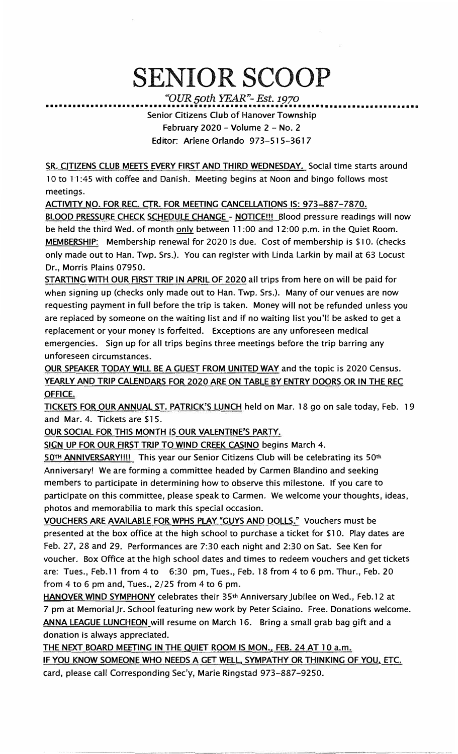## SENIOR SCOOP

*"OUR 50th YEAR"- Est. 1970* 

••••••••••••••••••••••••••••••••••••••••••••••••••••••••••••••••••••••••••••••••••• Senior Citizens Club of Hanover Township February 2020 - Volume  $2 - No$ . 2 Editor: Arlene Orlando 973-515-3617

SR. CITIZENS CLUB MEETS EVERY FIRST AND THIRD WEDNESDAY. Social time starts around 10 to 11:45 with coffee and Danish. Meeting begins at Noon and bingo follows most meetings.

ACTIVITY NO. FOR REC. CTR. FOR MEETING CANCELLATIONS IS: 973-887-7870.

BLOOD PRESSURE CHECK SCHEDULE CHANGE - NOTICE !!! Blood pressure readings will now be held the third Wed. of month only between 11 :00 and 12:00 p.m. in the Quiet Room. MEMBERSHIP: Membership renewal for 2020 is due. Cost of membership is \$10. (checks only made out to Han. Twp. Srs.). You can register with Linda Larkin by mail at 63 locust Dr., Morris Plains 07950.

STARTING WITH OUR FIRST TRIP IN APRIL OF 2020 all trips from here on will be paid for when signing up (checks only made out to Han. Twp. Srs.). Many of our venues are now requesting payment in full before the trip is taken. Money will not be refunded unless you are replaced by someone on the waiting list and if no waiting list you'll be asked to get a replacement or your money is forfeited. Exceptions are any unforeseen medical emergencies. Sign up for all trips begins three meetings before the trip barring any unforeseen circumstances.

OUR SPEAKER TODAY WILL BE A GUEST FROM UNITED WAY and the topic is 2020 Census. YEARLY AND TRIP CALENDARS FOR 2020 ARE ON TABLE BY ENTRY DOORS OR IN THE REC OFFICE.

TICKETS FOR OUR ANNUAL ST. PATRICK'S LUNCH held on Mar. 18 go on sale today, Feb. 19 and Mar. 4. Tickets are \$15.

OUR SOCIAL FOR THIS MONTH IS OUR VALENTINE'S PARTY.

SIGN UP FOR OUR FIRST TRIP TO WIND CREEK CASINO begins March 4.

50TH ANNIVERSARY!!!! This year our Senior Citizens Club will be celebrating its 50<sup>th</sup> Anniversary! We are forming a committee headed by Carmen Blandino and seeking members to participate in determining how to observe this milestone. If you care to participate on this committee, please speak to Carmen. We welcome your thoughts, ideas, photos and memorabilia to mark this special occasion.

VOUCHERS ARE AVAILABLE FOR WPHS PLAY "GUYS AND DOLLS." Vouchers must be presented at the box office at the high school to purchase a ticket for \$10. Play dates are Feb. 27, 28 and 29. Performances are 7:30 each night and 2:30 on Sat. See Ken for voucher. Box Office at the high school dates and times to redeem vouchers and get tickets are: Tues., Feb.11 from 4 to 6:30 pm, Tues., Feb. 18 from 4 to 6 pm. Thur., Feb. 20 from 4 to 6 pm and, Tues., 2/25 from 4 to 6 pm.

**HANOVER WIND SYMPHONY** celebrates their 35**th** Anniversary Jubilee on Wed., Feb.12 at 7 pm at Memorial Jr. School featuring new work by Peter Sciaino. Free. Donations welcome. **ANNA** LEAGUE LUNCHEON will resume on March 16. Bring a small grab bag gift and a donation is always appreciated.

THE NEXT BOARD MEETING IN THE QUIET ROOM IS MON., FEB. 24 AT 10 a.m. IF YOU KNOW SOMEONE WHO NEEDS A GET WELL SYMPATHY OR THINKING OF YOU, ETC. card, please call Corresponding Sec'y, Marie Ringstad 973-887-9250.